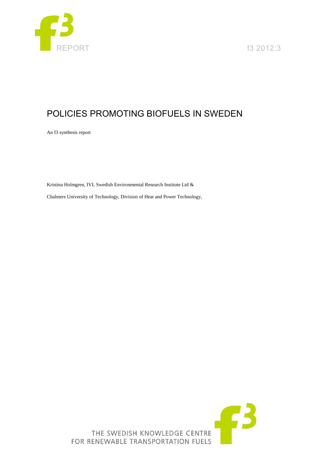

EPORT **f3** 2012:3

# POLICIES PROMOTING BIOFUELS IN SWEDEN

An f3 synthesis report

Kristina Holmgren, IVL Swedish Environmental Research Institute Ltd &

Chalmers University of Technology, Division of Heat and Power Technology,

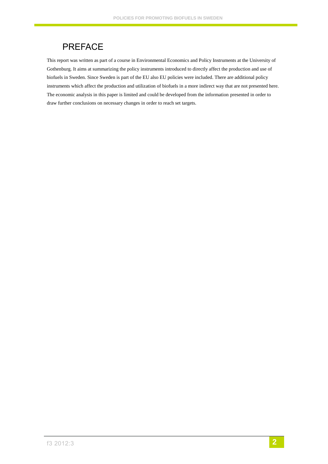# PREFACE

This report was written as part of a course in Environmental Economics and Policy Instruments at the University of Gothenburg. It aims at summarizing the policy instruments introduced to directly affect the production and use of biofuels in Sweden. Since Sweden is part of the EU also EU policies were included. There are additional policy instruments which affect the production and utilization of biofuels in a more indirect way that are not presented here. The economic analysis in this paper is limited and could be developed from the information presented in order to draw further conclusions on necessary changes in order to reach set targets.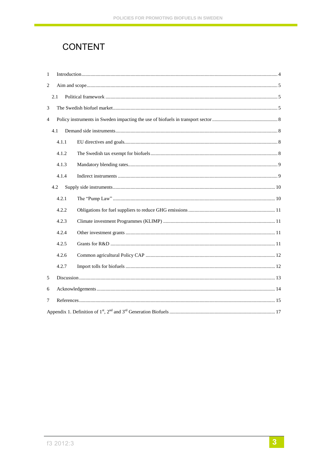# CONTENT

| $\mathbf{1}$   |       |  |  |  |  |  |  |
|----------------|-------|--|--|--|--|--|--|
| $\overline{2}$ |       |  |  |  |  |  |  |
|                | 2.1   |  |  |  |  |  |  |
| 3              |       |  |  |  |  |  |  |
| $\overline{4}$ |       |  |  |  |  |  |  |
|                | 4.1   |  |  |  |  |  |  |
|                | 4.1.1 |  |  |  |  |  |  |
|                | 4.1.2 |  |  |  |  |  |  |
|                | 4.1.3 |  |  |  |  |  |  |
|                | 4.1.4 |  |  |  |  |  |  |
|                | 4.2   |  |  |  |  |  |  |
|                | 4.2.1 |  |  |  |  |  |  |
|                | 4.2.2 |  |  |  |  |  |  |
|                | 4.2.3 |  |  |  |  |  |  |
|                | 4.2.4 |  |  |  |  |  |  |
|                | 4.2.5 |  |  |  |  |  |  |
|                | 4.2.6 |  |  |  |  |  |  |
|                | 4.2.7 |  |  |  |  |  |  |
| 5              |       |  |  |  |  |  |  |
| 6              |       |  |  |  |  |  |  |
| 7              |       |  |  |  |  |  |  |
|                |       |  |  |  |  |  |  |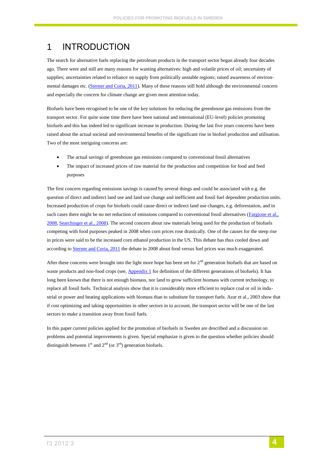## <span id="page-3-0"></span>1 INTRODUCTION

The search for alternative fuels replacing the petroleum products in the transport sector began already four decades ago. There were and still are many reasons for wanting alternatives: high and volatile prices of oil; uncertainty of supplies; uncertainties related to reliance on supply from politically unstable regions; raised awareness of environ-mental damages etc. [\(Sterner and Coria, 2011\)](#page-15-0). Many of these reasons still hold although the environmental concern and especially the concern for climate change are given most attention today.

Biofuels have been recognised to be one of the key solutions for reducing the greenhouse gas emissions from the transport sector. For quite some time there have been national and international (EU-level) policies promoting biofuels and this has indeed led to significant increase in production. During the last five years concerns have been raised about the actual societal and environmental benefits of the significant rise in biofuel production and utilisation. Two of the most intriguing concerns are:

- The actual savings of greenhouse gas emissions compared to conventional fossil alternatives
- The impact of increased prices of raw material for the production and competition for food and feed purposes

The first concern regarding emissions savings is caused by several things and could be associated with e.g. the question of direct and indirect land use and land use change and inefficient and fossil fuel dependent production units. Increased production of crops for biofuels could cause direct or indirect land use changes, e.g. deforestation, and in such cases there might be no net reduction of emissions compared to conventional fossil alternatives (Fargione et al., [2008,](#page-14-1) [Searchinger et al., 2008\)](#page-15-1). The second concern about raw materials being used for the production of biofuels competing with food purposes peaked in 2008 when corn prices rose drastically. One of the causes for the steep rise in prices were said to be the increased corn ethanol production in the US. This debate has thus cooled down and according to [Sterner and Coria, 2011](#page-15-0) the debate in 2008 about food versus fuel prices was much exaggerated.

After these concerns were brought into the light more hope has been set for  $2<sup>nd</sup>$  generation biofuels that are based on waste products and non-food crops (see, **Appendix 1** for definition of the different generations of biofuels). It has long been known that there is not enough biomass, nor land to grow sufficient biomass with current technology, to replace all fossil fuels. Technical analysis show that it is considerably more efficient to replace coal or oil in industrial or power and heating applications with biomass than to substitute for transport fuels. Azar et al., 2003 show that if cost optimizing and taking opportunities in other sectors in to account, the transport sector will be one of the last sectors to make a transition away from fossil fuels.

In this paper current policies applied for the promotion of biofuels in Sweden are described and a discussion on problems and potential improvements is given. Special emphasize is given to the question whether policies should distinguish between  $1<sup>st</sup>$  and  $2<sup>nd</sup>$  (or  $3<sup>rd</sup>$ ) generation biofuels.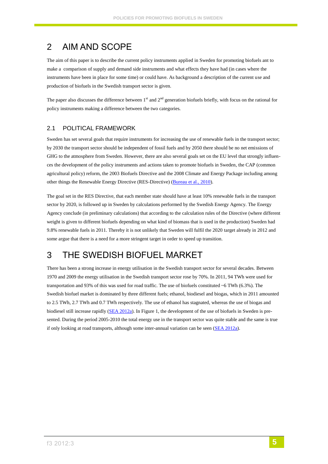## <span id="page-4-0"></span>2 AIM AND SCOPE

The aim of this paper is to describe the current policy instruments applied in Sweden for promoting biofuels ant to make a comparison of supply and demand side instruments and what effects they have had (in cases where the instruments have been in place for some time) or could have. As background a description of the current use and production of biofuels in the Swedish transport sector is given.

The paper also discusses the difference between  $1<sup>st</sup>$  and  $2<sup>nd</sup>$  generation biofuels briefly, with focus on the rational for policy instruments making a difference between the two categories.

### <span id="page-4-1"></span>2.1 POLITICAL FRAMEWORK

Sweden has set several goals that require instruments for increasing the use of renewable fuels in the transport sector; by 2030 the transport sector should be independent of fossil fuels and by 2050 there should be no net emissions of GHG to the atmosphere from Sweden. However, there are also several goals set on the EU level that strongly influences the development of the policy instruments and actions taken to promote biofuels in Sweden, the CAP (common agricultural policy) reform, the 2003 Biofuels Directive and the 2008 Climate and Energy Package including among other things the Renewable Energy Directive (RES-Directive) [\(Bureau et al., 2010\)](#page-14-2).

The goal set in the RES Directive, that each member state should have at least 10% renewable fuels in the transport sector by 2020, is followed up in Sweden by calculations performed by the Swedish Energy Agency. The Energy Agency conclude (in preliminary calculations) that according to the calculation rules of the Directive (where different weight is given to different biofuels depending on what kind of biomass that is used in the production) Sweden had 9.8% renewable fuels in 2011. Thereby it is not unlikely that Sweden will fulfil the 2020 target already in 2012 and some argue that there is a need for a more stringent target in order to speed up transition.

# <span id="page-4-2"></span>3 THE SWEDISH BIOFUEL MARKET

There has been a strong increase in energy utilisation in the Swedish transport sector for several decades. Between 1970 and 2009 the energy utilisation in the Swedish transport sector rose by 70%. In 2011, 94 TWh were used for transportation and 93% of this was used for road traffic. The use of biofuels constituted ~6 TWh (6.3%). The Swedish biofuel market is dominated by three different fuels; ethanol, biodiesel and biogas, which in 2011 amounted to 2.5 TWh, 2.7 TWh and 0.7 TWh respectively. The use of ethanol has stagnated, whereas the use of biogas and biodiesel still increase rapidly [\(SEA 2012a\)](#page-15-2). In Figure 1, the development of the use of biofuels in Sweden is presented. During the period 2005-2010 the total energy use in the transport sector was quite stable and the same is true if only looking at road transports, although some inter-annual variation can be seen [\(SEA 2012a\)](#page-15-2).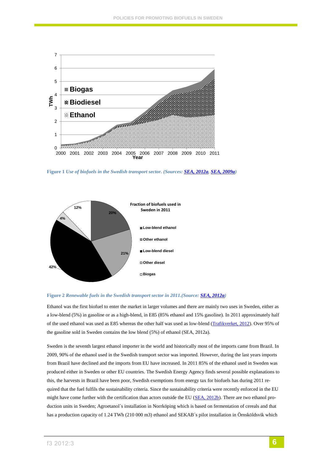

**Figure 1** *Use of biofuels in the Swedish transport sector. (Sources: [SEA, 2012a,](#page-15-2) [SEA, 2009a\)](#page-15-3)*



### **Figure 2** *Renewable fuels in the Swedish transport sector in 2011.(Source[: SEA, 2012a\)](#page-15-2)*

Ethanol was the first biofuel to enter the market in larger volumes and there are mainly two uses in Sweden, either as a low-blend (5%) in gasoline or as a high-blend, in E85 (85% ethanol and 15% gasoline). In 2011 approximately half of the used ethanol was used as E85 whereas the other half was used as low-blend [\(Trafikverket, 2012\)](#page-15-4). Over 95% of the gasoline sold in Sweden contains the low blend (5%) of ethanol (SEA, 2012a).

Sweden is the seventh largest ethanol importer in the world and historically most of the imports came from Brazil. In 2009, 90% of the ethanol used in the Swedish transport sector was imported. However, during the last years imports from Brazil have declined and the imports from EU have increased. In 2011 85% of the ethanol used in Sweden was produced either in Sweden or other EU countries. The Swedish Energy Agency finds several possible explanations to this, the harvests in Brazil have been poor, Swedish exemptions from energy tax for biofuels has during 2011 required that the fuel fulfils the sustainability criteria. Since the sustainability criteria were recently enforced in the EU might have come further with the certification than actors outside the EU [\(SEA, 2012b\)](#page-15-5). There are two ethanol production units in Sweden; Agroetanol´s installation in Norrköping which is based on fermentation of cereals and that has a production capacity of 1.24 TWh (210 000 m3) ethanol and SEKAB's pilot installation in Örnsköldsvik which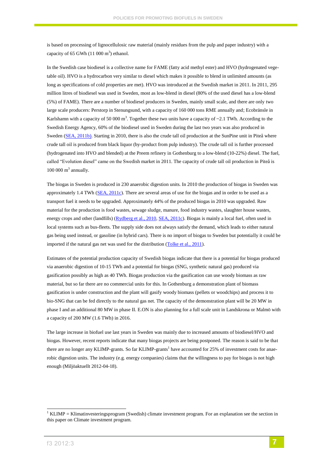is based on processing of lignocellulosic raw material (mainly residues from the pulp and paper industry) with a capacity of 65 GWh  $(11\ 000\ m^3)$  ethanol.

In the Swedish case biodiesel is a collective name for FAME (fatty acid methyl ester) and HVO (hydrogenated vegetable oil). HVO is a hydrocarbon very similar to diesel which makes it possible to blend in unlimited amounts (as long as specifications of cold properties are met). HVO was introduced at the Swedish market in 2011. In 2011, 295 million litres of biodiesel was used in Sweden, most as low-blend in diesel (80% of the used diesel has a low-blend (5%) of FAME). There are a number of biodiesel producers in Sweden, mainly small scale, and there are only two large scale producers: Perstorp in Stenungsund, with a capacity of 160 000 tons RME annually and; Ecobränsle in Karlshamn with a capacity of 50 000 m<sup>3</sup>. Together these two units have a capacity of  $\sim$ 2.1 TWh. According to the Swedish Energy Agency, 60% of the biodiesel used in Sweden during the last two years was also produced in Sweden [\(SEA, 2011b\)](#page-15-6). Starting in 2010, there is also the crude tall oil production at the SunPine unit in Piteå where crude tall oil is produced from black liquor (by-product from pulp industry). The crude tall oil is further processed (hydrogenated into HVO and blended) at the Preem refinery in Gothenburg to a low-blend (10-22%) diesel. The fuel, called "Evolution diesel" came on the Swedish market in 2011. The capacity of crude tall oil production in Piteå is  $100000 \text{ m}^3$  annually.

The biogas in Sweden is produced in 230 anaerobic digestion units. In 2010 the production of biogas in Sweden was approximately 1.4 TWh  $(SEA, 2011c)$ . There are several areas of use for the biogas and in order to be used as a transport fuel it needs to be upgraded. Approximately 44% of the produced biogas in 2010 was upgraded. Raw material for the production is food wastes, sewage sludge, manure, food industry wastes, slaughter house wastes, energy crops and other (landfills) [\(Rydberg et al., 2010,](#page-14-3) [SEA, 2011c\)](#page-15-7). Biogas is mainly a local fuel, often used in local systems such as bus-fleets. The supply side does not always satisfy the demand, which leads to either natural gas being used instead, or gasoline (in hybrid cars). There is no import of biogas to Sweden but potentially it could be imported if the natural gas net was used for the distribution [\(Tolke et al., 2011\)](#page-15-8).

Estimates of the potential production capacity of Swedish biogas indicate that there is a potential for biogas produced via anaerobic digestion of 10-15 TWh and a potential for biogas (SNG, synthetic natural gas) produced via gasification possibly as high as 40 TWh. Biogas production via the gasification can use woody biomass as raw material, but so far there are no commercial units for this. In Gothenburg a demonstration plant of biomass gasification is under construction and the plant will gasify woody biomass (pellets or woodchips) and process it to bio-SNG that can be fed directly to the natural gas net. The capacity of the demonstration plant will be 20 MW in phase I and an additional 80 MW in phase II. E.ON is also planning for a full scale unit in Landskrona or Malmö with a capacity of 200 MW (1.6 TWh) in 2016.

The large increase in biofuel use last years in Sweden was mainly due to increased amounts of biodiesel/HVO and biogas. However, recent reports indicate that many biogas projects are being postponed. The reason is said to be that there are no longer any KLIMP-grants. So far KLIMP-grants<sup>1</sup> have accounted for 25% of investment costs for anaerobic digestion units. The industry (e.g. energy companies) claims that the willingness to pay for biogas is not high enough (Miljöaktuellt 2012-04-18).

1

 $1$  KLIMP = Klimatinvesteringsprogram (Swedish) climate investment program. For an explanation see the section in this paper on Climate investment program.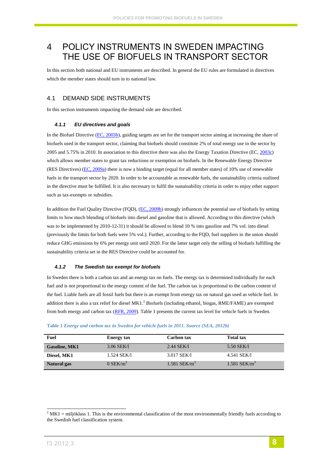## <span id="page-7-0"></span>4 POLICY INSTRUMENTS IN SWEDEN IMPACTING THE USE OF BIOFUELS IN TRANSPORT SECTOR

In this section both national and EU instruments are described. In general the EU rules are formulated in directives which the member states should turn in to national law.

### <span id="page-7-1"></span>4.1 DEMAND SIDE INSTRUMENTS

In this section instruments impacting the demand side are described.

#### <span id="page-7-2"></span>*4.1.1 EU directives and goals*

In the Biofuel Directive [\(EC, 2003b\)](#page-14-4), guiding targets are set for the transport sector aiming at increasing the share of biofuels used in the transport sector, claiming that biofuels should constitute 2% of total energy use in the sector by 2005 and 5.75% in 2010. In association to this directive there was also the Energy Taxation Directive (EC[, 2003c\)](#page-14-5) which allows member states to grant tax reductions or exemption on biofuels. In the Renewable Energy Directive (RES Directives) [\(EC, 2009a\)](#page-14-6) there is now a binding target (equal for all member states) of 10% use of renewable fuels in the transport sector by 2020. In order to be accountable as renewable fuels, the sustainability criteria outlined in the directive must be fulfilled. It is also necessary to fulfil the sustainability criteria in order to enjoy other support such as tax-exempts or subsidies.

In addition the Fuel Quality Directive (FQD), [\(EC, 2009b\)](#page-14-7) strongly influences the potential use of biofuels by setting limits to how much blending of biofuels into diesel and gasoline that is allowed. According to this directive (which was to be implemented by 2010-12-31) it should be allowed to blend 10 % into gasoline and 7% vol. into diesel (previously the limits for both fuels were 5% vol.). Further, according to the FQD, fuel suppliers in the union should reduce GHG emissions by 6% per energy unit until 2020. For the latter target only the selling of biofuels fulfilling the sustainability criteria set in the RES Directive could be accounted for.

#### <span id="page-7-3"></span>*4.1.2 The Swedish tax exempt for biofuels*

In Sweden there is both a carbon tax and an energy tax on fuels. The energy tax is determined individually for each fuel and is not proportional to the energy content of the fuel. The carbon tax is proportional to the carbon content of the fuel. Liable fuels are all fossil fuels but there is an exempt from energy tax on natural gas used as vehicle fuel. In addition there is also a tax relief for diesel MK1.<sup>2</sup> Biofuels (including ethanol, biogas, RME/FAME) are exempted from both energy and carbon tax [\(RFR, 2009\)](#page-14-8). Table 1 presents the current tax level for vehicle fuels in Sweden.

| <b>Fuel</b>          | <b>Energy tax</b>      | Carbon tax                 | <b>Total tax</b>           |
|----------------------|------------------------|----------------------------|----------------------------|
| <b>Gasoline, MK1</b> | $3.06$ SEK/1           | 2.44 SEK/I                 | 5.50 SEK/I                 |
| Diesel, MK1          | 1.524 SEK/1            | 3.017 SEK/I                | 4.541 SEK/1                |
| Natural gas          | $0$ SEK/m <sup>3</sup> | $1.581$ SEK/m <sup>3</sup> | $1.581$ SEK/m <sup>3</sup> |

**Table 1** *Energy and carbon tax in Sweden for vehicle fuels in 2011. Source (SEA, 2012b)*

1

 $2$  MK1 = miljöklass 1. This is the environmental classification of the most environmentally friendly fuels according to the Swedish fuel classification system.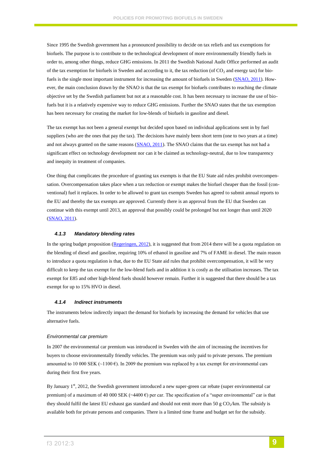Since 1995 the Swedish government has a pronounced possibility to decide on tax reliefs and tax exemptions for biofuels. The purpose is to contribute to the technological development of more environmentally friendly fuels in order to, among other things, reduce GHG emissions. In 2011 the Swedish National Audit Office performed an audit of the tax exemption for biofuels in Sweden and according to it, the tax reduction (of  $CO<sub>2</sub>$  and energy tax) for bio-fuels is the single most important instrument for increasing the amount of biofuels in Sweden [\(SNAO, 2011\)](#page-15-9). However, the main conclusion drawn by the SNAO is that the tax exempt for biofuels contributes to reaching the climate objective set by the Swedish parliament but not at a reasonable cost. It has been necessary to increase the use of biofuels but it is a relatively expensive way to reduce GHG emissions. Further the SNAO states that the tax exemption has been necessary for creating the market for low-blends of biofuels in gasoline and diesel.

The tax exempt has not been a general exempt but decided upon based on individual applications sent in by fuel suppliers (who are the ones that pay the tax). The decisions have mainly been short term (one to two years at a time) and not always granted on the same reasons [\(SNAO, 2011\)](#page-15-9). The SNAO claims that the tax exempt has not had a significant effect on technology development nor can it be claimed as technology-neutral, due to low transparency and inequity in treatment of companies.

One thing that complicates the procedure of granting tax exempts is that the EU State aid rules prohibit overcompensation. Overcompensation takes place when a tax reduction or exempt makes the biofuel cheaper than the fossil (conventional) fuel it replaces. In order to be allowed to grant tax exempts Sweden has agreed to submit annual reports to the EU and thereby the tax exempts are approved. Currently there is an approval from the EU that Sweden can continue with this exempt until 2013, an approval that possibly could be prolonged but not longer than until 2020 [\(SNAO, 2011\)](#page-15-9).

#### <span id="page-8-0"></span>*4.1.3 Mandatory blending rates*

In the spring budget proposition [\(Regeringen, 2012\)](#page-14-9), it is suggested that from 2014 there will be a quota regulation on the blending of diesel and gasoline, requiring 10% of ethanol in gasoline and 7% of FAME in diesel. The main reason to introduce a quota regulation is that, due to the EU State aid rules that prohibit overcompensation, it will be very difficult to keep the tax exempt for the low-blend fuels and in addition it is costly as the utilisation increases. The tax exempt for E85 and other high-blend fuels should however remain. Further it is suggested that there should be a tax exempt for up to 15% HVO in diesel.

#### <span id="page-8-1"></span>*4.1.4 Indirect instruments*

The instruments below indirectly impact the demand for biofuels by increasing the demand for vehicles that use alternative fuels.

#### *Environmental car premium*

In 2007 the environmental car premium was introduced in Sweden with the aim of increasing the incentives for buyers to choose environmentally friendly vehicles. The premium was only paid to private persons. The premium amounted to 10 000 SEK ( $\sim$ 1100 €). In 2009 the premium was replaced by a tax exempt for environmental cars during their first five years.

By January 1<sup>st</sup>, 2012, the Swedish government introduced a new super-green car rebate (super environmental car premium) of a maximum of 40 000 SEK ( $\sim$ 4400 €) per car. The specification of a "super environmental" car is that they should fulfil the latest EU exhaust gas standard and should not emit more than 50 g  $CO_2/km$ . The subsidy is available both for private persons and companies. There is a limited time frame and budget set for the subsidy.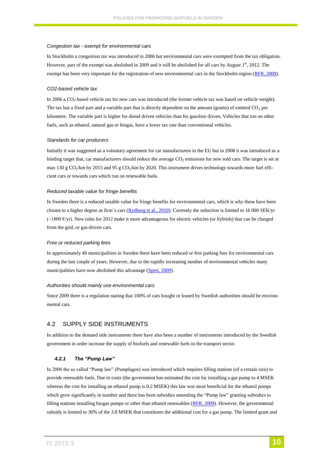#### *Congestion tax - exempt for environmental cars*

In Stockholm a congestion tax was introduced in 2006 but environmental cars were exempted from the tax obligation. However, part of the exempt was abolished in 2009 and it will be abolished for all cars by August  $1<sup>st</sup>$ , 2012. The exempt has been very important for the registration of new environmental cars in the Stockholm region [\(RFR, 2009\)](#page-14-8).

#### *CO2-based vehicle tax*

In 2006 a  $CO<sub>2</sub>$ -based vehicle tax for new cars was introduced (the former vehicle tax was based on vehicle weight). The tax has a fixed part and a variable part that is directly dependent on the amount (grams) of emitted  $CO<sub>2</sub>$  per kilometre. The variable part is higher for diesel driven vehicles than for gasoline driven. Vehicles that run on other fuels, such as ethanol, natural gas or biogas, have a lower tax rate than conventional vehicles.

#### *Standards for car producers*

Initially it was suggested as a voluntary agreement for car manufacturers in the EU but in 2008 it was introduced as a binding target that, car manufacturers should reduce the average  $CO<sub>2</sub>$  emissions for new sold cars. The target is set at max 130 g  $CO_2/km$  by 2015 and 95 g  $CO_2/km$  by 2020. This instrument drives technology towards more fuel efficient cars or towards cars which run on renewable fuels.

#### *Reduced taxable value for fringe benefits*

In Sweden there is a reduced taxable value for fringe benefits for environmental cars, which is why these have been chosen to a higher degree as firm´s cars [\(Rydberg et al., 2010\)](#page-14-3). Currently the reduction is limited to 16 000 SEK/yr  $(-1800 \text{ E/yr})$ . New rules for 2012 make it more advantageous for electric vehicles (or hybrids) that can be charged from the grid, or gas-driven cars.

#### *Free or reduced parking fees*

In approximately 40 municipalities in Sweden there have been reduced or free parking fees for environmental cars during the last couple of years. However, due to the rapidly increasing number of environmental vehicles many municipalities have now abolished this advantage [\(Sprei, 2009\)](#page-15-10).

#### *Authorities should mainly use environmental cars*

Since 2009 there is a regulation stating that 100% of cars bought or leased by Swedish authorities should be environmental cars.

### <span id="page-9-0"></span>4.2 SUPPLY SIDE INSTRUMENTS

In addition to the demand side instruments there have also been a number of instruments introduced by the Swedish government in order increase the supply of biofuels and renewable fuels in the transport sector.

### <span id="page-9-1"></span>*4.2.1 The "Pump Law"*

In 2006 the so called "Pump law" (Pumplagen) was introduced which requires filling stations (of a certain size) to provide renewable fuels. Due to costs (the government has estimated the cost for installing a gas pump to 4 MSEK whereas the cost for installing an ethanol pump is 0.2 MSEK) this law was most beneficial for the ethanol pumps which grew significantly in number and there has been subsidies amending the "Pump law" granting subsidies to filling stations installing biogas pumps or other than ethanol renewables [\(RFR, 2009\)](#page-14-8). However, the governmental subsidy is limited to 30% of the 3.8 MSEK that constitutes the additional cost for a gas pump. The limited grant and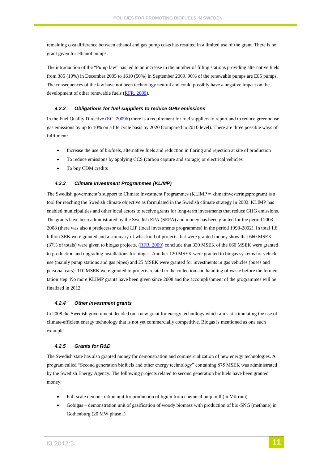remaining cost difference between ethanol and gas pump costs has resulted in a limited use of the grant. There is no grant given for ethanol pumps.

The introduction of the "Pump law" has led to an increase in the number of filling stations providing alternative fuels from 385 (10%) in December 2005 to 1610 (50%) in September 2009. 90% of the renewable pumps are E85 pumps. The consequences of the law have not been technology neutral and could possibly have a negative impact on the development of other renewable fuels [\(RFR, 2009\)](#page-14-8).

#### <span id="page-10-0"></span>*4.2.2 Obligations for fuel suppliers to reduce GHG emissions*

In the Fuel Quality Directive [\(EC, 2009b\)](#page-14-7) there is a requirement for fuel suppliers to report and to reduce greenhouse gas emissions by up to 10% on a life cycle basis by 2020 (compared to 2010 level). There are three possible ways of fulfilment:

- Increase the use of biofuels, alternative fuels and reduction in flaring and rejection at site of production
- To reduce emissions by applying CCS (carbon capture and storage) or electrical vehicles
- To buy CDM credits

#### <span id="page-10-1"></span>*4.2.3 Climate investment Programmes (KLIMP)*

The Swedish government's support to Climate Investment Programmes (KLIMP = klimatinvesteringsprogram) is a tool for reaching the Swedish climate objective as formulated in the Swedish climate strategy in 2002. KLIMP has enabled municipalities and other local actors to receive grants for long-term investments that reduce GHG emissions. The grants have been administrated by the Swedish EPA (SEPA) and money has been granted for the period 2003- 2008 (there was also a predecessor called LIP (local investments programmes) in the period 1998-2002). In total 1.8 billion SEK were granted and a summary of what kind of projects that were granted money show that 660 MSEK (37% of totals) were given to biogas projects. [\(RFR, 2009\)](#page-14-8) conclude that 330 MSEK of the 660 MSEK were granted to production and upgrading installations for biogas. Another 120 MSEK were granted to biogas systems for vehicle use (mainly pump stations and gas pipes) and 25 MSEK were granted for investments in gas vehicles (buses and personal cars). 110 MSEK were granted to projects related to the collection and handling of waste before the fermentation step. No more KLIMP grants have been given since 2008 and the accomplishment of the programmes will be finalized in 2012.

#### <span id="page-10-2"></span>*4.2.4 Other investment grants*

In 2008 the Swedish government decided on a new grant for energy technology which aims at stimulating the use of climate-efficient energy technology that is not yet commercially competitive. Biogas is mentioned as one such example.

#### <span id="page-10-3"></span>*4.2.5 Grants for R&D*

The Swedish state has also granted money for demonstration and commercialization of new energy technologies. A program called "Second generation biofuels and other energy technology" containing 875 MSEK was administrated by the Swedish Energy Agency. The following projects related to second generation biofuels have been granted money:

- Full scale demonstration unit for production of lignin from chemical pulp mill (in Mörrum)
- Gobigas demonstration unit of gasification of woody biomass with production of bio-SNG (methane) in Gothenburg (20 MW phase I)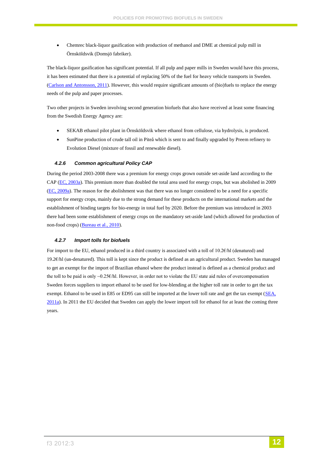Chemrec black-liquor gasification with production of methanol and DME at chemical pulp mill in Örnsköldsvik (Domsjö fabriker).

The black-liquor gasification has significant potential. If all pulp and paper mills in Sweden would have this process, it has been estimated that there is a potential of replacing 50% of the fuel for heavy vehicle transports in Sweden. [\(Carlson and Antonsson, 2011\)](#page-14-10). However, this would require significant amounts of (bio)fuels to replace the energy needs of the pulp and paper processes.

Two other projects in Sweden involving second generation biofuels that also have received at least some financing from the Swedish Energy Agency are:

- SEKAB ethanol pilot plant in Örnsköldsvik where ethanol from cellulose, via hydrolysis, is produced.
- SunPine production of crude tall oil in Piteå which is sent to and finally upgraded by Preem refinery to Evolution Diesel (mixture of fossil and renewable diesel).

#### <span id="page-11-0"></span>*4.2.6 Common agricultural Policy CAP*

During the period 2003-2008 there was a premium for energy crops grown outside set-aside land according to the CAP [\(EC, 2003a\)](#page-14-11). This premium more than doubled the total area used for energy crops, but was abolished in 2009 [\(EC, 2009a\)](#page-14-6). The reason for the abolishment was that there was no longer considered to be a need for a specific support for energy crops, mainly due to the strong demand for these products on the international markets and the establishment of binding targets for bio-energy in total fuel by 2020. Before the premium was introduced in 2003 there had been some establishment of energy crops on the mandatory set-aside land (which allowed for production of non-food crops) [\(Bureau et al., 2010\)](#page-14-2).

#### <span id="page-11-1"></span>*4.2.7 Import tolls for biofuels*

For import to the EU, ethanol produced in a third country is associated with a toll of 10.2€/hl (denatured) and 19.2€/hl (un-denatured). This toll is kept since the product is defined as an agricultural product. Sweden has managed to get an exempt for the import of Brazilian ethanol where the product instead is defined as a chemical product and the toll to be paid is only ~0.25 $\varepsilon$ /hl. However, in order not to violate the EU state aid rules of overcompensation Sweden forces suppliers to import ethanol to be used for low-blending at the higher toll rate in order to get the tax exempt. Ethanol to be used in E85 or ED95 can still be imported at the lower toll rate and get the tax exempt [\(SEA,](#page-15-11)  [2011a\)](#page-15-11). In 2011 the EU decided that Sweden can apply the lower import toll for ethanol for at least the coming three years.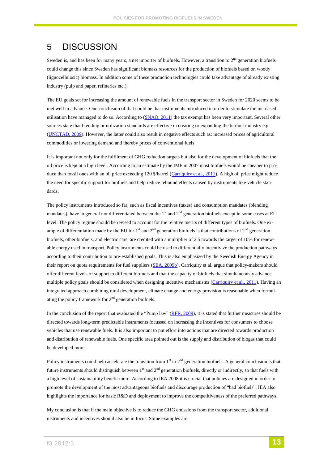## <span id="page-12-0"></span>5 DISCUSSION

Sweden is, and has been for many years, a net importer of biofuels. However, a transition to  $2<sup>nd</sup>$  generation biofuels could change this since Sweden has significant biomass resources for the production of biofuels based on woody (lignocellulosic) biomass. In addition some of these production technologies could take advantage of already existing industry (pulp and paper, refineries etc.).

The EU goals set for increasing the amount of renewable fuels in the transport sector in Sweden for 2020 seems to be met well in advance. One conclusion of that could be that instruments introduced in order to stimulate the increased utilisation have managed to do so. According to [\(SNAO, 2011\)](#page-15-9) the tax exempt has been very important. Several other sources state that blending or utilization standards are effective in creating or expanding the biofuel industry e.g. [\(UNCTAD, 2009\)](#page-15-12). However, the latter could also result in negative effects such as: increased prices of agricultural commodities or lowering demand and thereby prices of conventional fuels

It is important not only for the fulfilment of GHG reduction targets but also for the development of biofuels that the oil price is kept at a high level. According to an estimate by the IMF in 2007 most biofuels would be cheaper to pro-duce than fossil ones with an oil price exceeding 120 \$/barrel [\(Carriquiry et al., 2011\)](#page-14-12). A high oil price might reduce the need for specific support for biofuels and help reduce rebound effects caused by instruments like vehicle standards.

The policy instruments introduced so far, such as fiscal incentives (taxes) and consumption mandates (blending mandates), have in general not differentiated between the  $1<sup>st</sup>$  and  $2<sup>nd</sup>$  generation biofuels except in some cases at EU level. The policy regime should be revised to account for the relative merits of different types of biofuels. One example of differentiation made by the EU for  $1<sup>st</sup>$  and  $2<sup>nd</sup>$  generation biofuels is that contributions of  $2<sup>nd</sup>$  generation biofuels, other biofuels, and electric cars, are credited with a multiplier of 2.5 towards the target of 10% for renewable energy used in transport. Policy instruments could be used to differentially incentivize the production pathways according to their contribution to pre-established goals. This is also emphasized by the Swedish Energy Agency in their report on quota requirements for fuel suppliers [\(SEA, 2009b\)](#page-15-13). Carriquiry et al. argue that policy-makers should offer different levels of support to different biofuels and that the capacity of biofuels that simultaneously advance multiple policy goals should be considered when designing incentive mechanisms [\(Carriquiry et al., 2011\)](#page-14-12). Having an integrated approach combining rural development, climate change and energy provision is reasonable when formulating the policy framework for  $2<sup>nd</sup>$  generation biofuels.

In the conclusion of the report that evaluated the "Pump law" [\(RFR, 2009\)](#page-14-8), it is stated that further measures should be directed towards long-term predictable instruments focussed on increasing the incentives for consumers to choose vehicles that use renewable fuels. It is also important to put effort into actions that are directed towards production and distribution of renewable fuels. One specific area pointed out is the supply and distribution of biogas that could be developed more.

Policy instruments could help accelerate the transition from  $1<sup>st</sup>$  to  $2<sup>nd</sup>$  generation biofuels. A general conclusion is that future instruments should distinguish between  $1<sup>st</sup>$  and  $2<sup>nd</sup>$  generation biofuels, directly or indirectly, so that fuels with a high level of sustainability benefit more. According to IEA 2008 it is crucial that policies are designed in order to promote the development of the most advantageous biofuels and discourage production of "bad biofuels". IEA also highlights the importance for basic R&D and deployment to improve the competitiveness of the preferred pathways.

My conclusion is that if the main objective is to reduce the GHG emissions from the transport sector, additional instruments and incentives should also be in focus. Some examples are: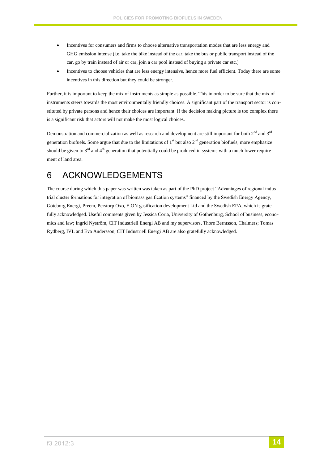- Incentives for consumers and firms to choose alternative transportation modes that are less energy and GHG emission intense (i.e. take the bike instead of the car, take the bus or public transport instead of the car, go by train instead of air or car, join a car pool instead of buying a private car etc.)
- Incentives to choose vehicles that are less energy intensive, hence more fuel efficient. Today there are some incentives in this direction but they could be stronger.

Further, it is important to keep the mix of instruments as simple as possible. This in order to be sure that the mix of instruments steers towards the most environmentally friendly choices. A significant part of the transport sector is constituted by private persons and hence their choices are important. If the decision making picture is too complex there is a significant risk that actors will not make the most logical choices.

Demonstration and commercialization as well as research and development are still important for both  $2^{nd}$  and  $3^{rd}$ generation biofuels. Some argue that due to the limitations of  $1<sup>st</sup>$  but also  $2<sup>nd</sup>$  generation biofuels, more emphasize should be given to  $3<sup>rd</sup>$  and  $4<sup>th</sup>$  generation that potentially could be produced in systems with a much lower requirement of land area.

# <span id="page-13-0"></span>6 ACKNOWLEDGEMENTS

The course during which this paper was written was taken as part of the PhD project "Advantages of regional industrial cluster formations for integration of biomass gasification systems" financed by the Swedish Energy Agency, Göteborg Energi, Preem, Perstorp Oxo, E.ON gasification development Ltd and the Swedish EPA, which is gratefully acknowledged. Useful comments given by Jessica Coria, University of Gothenburg, School of business, economics and law; Ingrid Nyström, CIT Industriell Energi AB and my supervisors, Thore Berntsson, Chalmers; Tomas Rydberg, IVL and Eva Andersson, CIT Industriell Energi AB are also gratefully acknowledged.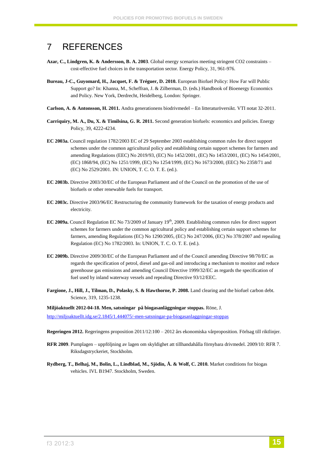### <span id="page-14-0"></span>7 REFERENCES

- **Azar, C., Lindgren, K. & Andersson, B. A. 2003**. Global energy scenarios meeting stringent CO2 constraints cost-effective fuel choices in the transportation sector. Energy Policy, 31, 961-976.
- <span id="page-14-2"></span>**Bureau, J-C., Guyomard, H., Jacquet, F. & Tréguer, D. 2010.** European Biofuel Policy: How Far will Public Support go? In: Khanna, M., Scheffran, J. & Zilberman, D. (eds.) Handbook of Bioenergy Economics and Policy. New York, Derdrecht, Heidelberg, London: Springer.
- <span id="page-14-10"></span>**Carlson, A. & Antonsson, H. 2011.** Andra generationens biodrivmedel – En litteraturöversikt. VTI notat 32-2011.
- <span id="page-14-12"></span>**Carriquiry, M. A., Du, X. & Timilsina, G. R. 2011.** Second generation biofuels: economics and policies. Energy Policy, 39, 4222-4234.
- <span id="page-14-11"></span>**EC 2003a.** Council regulation 1782/2003 EC of 29 September 2003 establishing common rules for direct support schemes under the common agricultural policy and establishing certain support schemes for farmers and amending Regulations (EEC) No 2019/93, (EC) No 1452/2001, (EC) No 1453/2001, (EC) No 1454/2001, (EC) 1868/94, (EC) No 1251/1999, (EC) No 1254/1999, (EC) No 1673/2000, (EEC) No 2358/71 and (EC) No 2529/2001. IN: UNION, T. C. O. T. E. (ed.).
- <span id="page-14-4"></span>**EC 2003b.** Directive 2003/30/EC of the European Parliament and of the Council on the promotion of the use of biofuels or other renewable fuels for transport.
- <span id="page-14-5"></span>**EC 2003c.** Directive 2003/96/EC Restructuring the community framework for the taxation of energy products and electricity.
- <span id="page-14-6"></span>EC 2009a. Council Regulation EC No 73/2009 of January 19<sup>th</sup>, 2009. Establishing common rules for direct support schemes for farmers under the common agricultural policy and establishing certain support schemes for farmers, amending Regulations (EC) No 1290/2005, (EC) No 247/2006, (EC) No 378/2007 and repealing Regulation (EC) No 1782/2003. In: UNION, T. C. O. T. E. (ed.).
- <span id="page-14-7"></span>**EC 2009b.** Directive 2009/30/EC of the European Parliament and of the Council amending Directive 98/70/EC as regards the specification of petrol, diesel and gas-oil and introducing a mechanism to monitor and reduce greenhouse gas emissions and amending Council Directive 1999/32/EC as regards the specification of fuel used by inland waterway vessels and repealing Directive 93/12/EEC.
- <span id="page-14-1"></span>**Fargione, J., Hill, J., Tilman, D., Polasky, S. & Hawthorne, P. 2008.** Land clearing and the biofuel carbon debt. Science, 319, 1235-1238.

**Miljöaktuellt 2012-04-18. Men, satsningar på biogasanläggningar stoppas.** Röne, J. <http://miljoaktuellt.idg.se/2.1845/1.444075/-men-satsningar-pa-biogasanlaggningar-stoppas>

- <span id="page-14-9"></span>**Regeringen 2012.** Regeringens proposition 2011/12:100 – 2012 års ekonomiska vårproposition. Förlsag till riktlinjer.
- <span id="page-14-8"></span>**RFR 2009**. Pumplagen – uppföljning av lagen om skyldighet att tillhandahålla förnybara drivmedel. 2009/10: RFR 7. Riksdagstryckeriet, Stockholm.
- <span id="page-14-3"></span>**Rydberg, T., Belhaj, M., Bolin, L., Lindblad, M., Sjödin, Å. & Wolf, C. 2010.** Market conditions for biogas vehicles. IVL B1947. Stockholm, Sweden.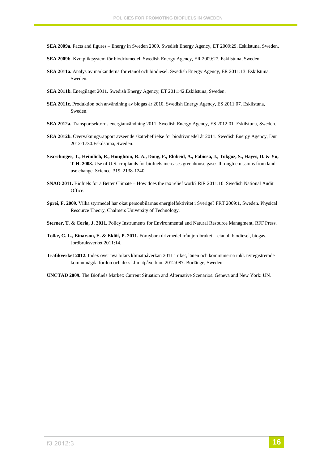- <span id="page-15-3"></span>**SEA 2009a.** Facts and figures – Energy in Sweden 2009. Swedish Energy Agency, ET 2009:29. Eskilstuna, Sweden.
- <span id="page-15-13"></span>**SEA 2009b.** Kvotpliktsystem för biodrivmedel. Swedish Energy Agency, ER 2009:27. Eskilstuna, Sweden.
- <span id="page-15-11"></span>**SEA 2011a.** Analys av markanderna för etanol och biodiesel. Swedish Energy Agency, ER 2011:13. Eskilstuna, Sweden.
- <span id="page-15-6"></span>**SEA 2011b.** Energiläget 2011. Swedish Energy Agency, ET 2011:42.Eskilstuna, Sweden.
- <span id="page-15-7"></span>**SEA 2011c.** Produktion och användning av biogas år 2010. Swedish Energy Agency, ES 2011:07. Eskilstuna, Sweden.
- <span id="page-15-2"></span>**SEA 2012a.** Transportsektorns energianvändning 2011. Swedish Energy Agency, ES 2012:01. Eskilstuna, Sweden.
- <span id="page-15-5"></span>**SEA 2012b.** Övervakningsrapport avseende skattebefrielse för biodrivmedel år 2011. Swedish Energy Agency, Dnr 2012-1730.Eskilstuna, Sweden.
- <span id="page-15-1"></span>**Searchinger, T., Heimlich, R., Houghton, R. A., Dong, F., Elobeid, A., Fabiosa, J., Tokgoz, S., Hayes, D. & Yu, T-H. 2008.** Use of U.S. croplands for biofuels increases greenhouse gases through emissions from landuse change. Science, 319, 2138-1240.
- <span id="page-15-9"></span>**SNAO 2011.** Biofuels for a Better Climate – How does the tax relief work? RiR 2011:10. Swedish National Audit Office.
- <span id="page-15-10"></span>**Sprei, F. 2009.** Vilka styrmedel har ökat personbilarnas energieffektivitet i Sverige? FRT 2009:1, Sweden. Physical Resource Theory, Chalmers University of Technology.
- <span id="page-15-0"></span>**Sterner, T. & Coria, J. 2011.** Policy Instruments for Environmental and Natural Resource Managment, RFF Press.
- <span id="page-15-8"></span>**Tolke, C. L., Einarson, E. & Eklöf, P. 2011.** Förnybara drivmedel från jordbruket – etanol, biodiesel, biogas. Jordbruksverket 2011:14.
- <span id="page-15-4"></span>**Trafikverket 2012.** Index över nya bilars klimatpåverkan 2011 i riket, länen och kommunerna inkl. nyregistrerade kommunägda fordon och dess klimatpåverkan. 2012:087. Borlänge, Sweden.
- <span id="page-15-12"></span>**UNCTAD 2009.** The Biofuels Market: Current Situation and Alternative Scenarios. Geneva and New York: UN.